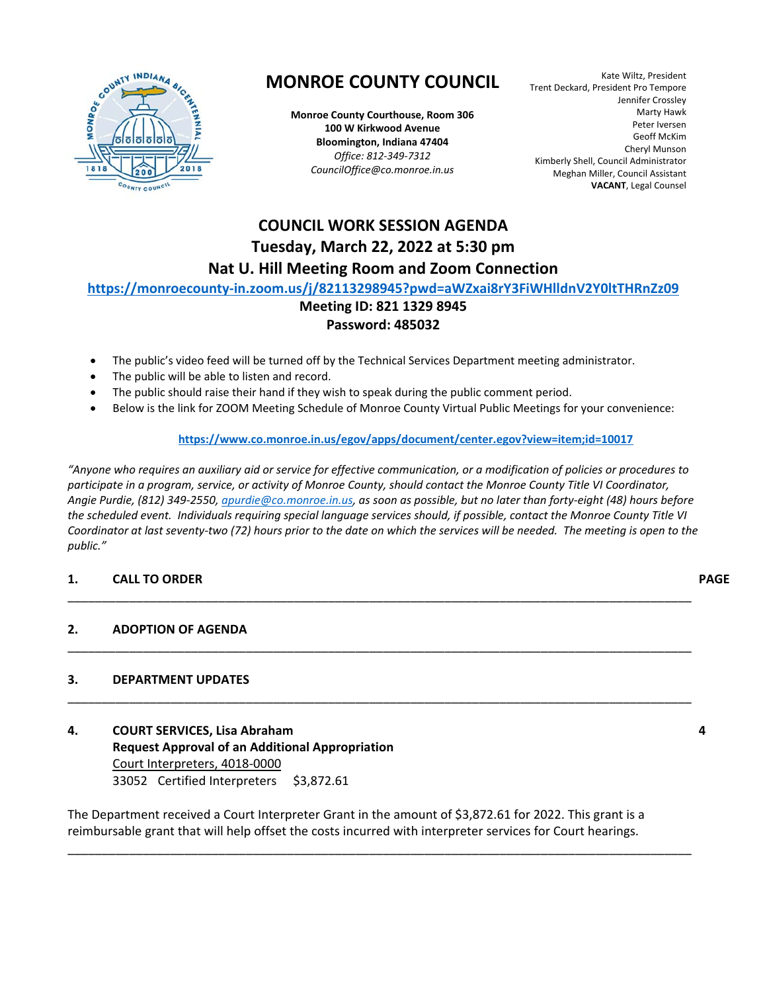

### **MONROE COUNTY COUNCIL**

**Monroe County Courthouse, Room 306 100 W Kirkwood Avenue Bloomington, Indiana 47404**  *Office: 812‐349‐7312 CouncilOffice@co.monroe.in.us* 

Kate Wiltz, President Trent Deckard, President Pro Tempore Jennifer Crossley Marty Hawk Peter Iversen Geoff McKim Cheryl Munson Kimberly Shell, Council Administrator Meghan Miller, Council Assistant **VACANT**, Legal Counsel

### **COUNCIL WORK SESSION AGENDA Tuesday, March 22, 2022 at 5:30 pm Nat U. Hill Meeting Room and Zoom Connection**

#### **https://monroecounty‐in.zoom.us/j/82113298945?pwd=aWZxai8rY3FiWHlldnV2Y0ltTHRnZz09**

#### **Meeting ID: 821 1329 8945 Password: 485032**

- The public's video feed will be turned off by the Technical Services Department meeting administrator.
- The public will be able to listen and record.
- The public should raise their hand if they wish to speak during the public comment period.
- Below is the link for ZOOM Meeting Schedule of Monroe County Virtual Public Meetings for your convenience:

#### **https://www.co.monroe.in.us/egov/apps/document/center.egov?view=item;id=10017**

*"Anyone who requires an auxiliary aid or service for effective communication, or a modification of policies or procedures to participate in a program, service, or activity of Monroe County, should contact the Monroe County Title VI Coordinator, Angie Purdie, (812) 349‐2550, apurdie@co.monroe.in.us, as soon as possible, but no later than forty‐eight (48) hours before the scheduled event. Individuals requiring special language services should, if possible, contact the Monroe County Title VI Coordinator at last seventy‐two (72) hours prior to the date on which the services will be needed. The meeting is open to the public."* 

\_\_\_\_\_\_\_\_\_\_\_\_\_\_\_\_\_\_\_\_\_\_\_\_\_\_\_\_\_\_\_\_\_\_\_\_\_\_\_\_\_\_\_\_\_\_\_\_\_\_\_\_\_\_\_\_\_\_\_\_\_\_\_\_\_\_\_\_\_\_\_\_\_\_\_\_\_\_\_\_\_\_\_\_\_\_\_\_\_\_\_

\_\_\_\_\_\_\_\_\_\_\_\_\_\_\_\_\_\_\_\_\_\_\_\_\_\_\_\_\_\_\_\_\_\_\_\_\_\_\_\_\_\_\_\_\_\_\_\_\_\_\_\_\_\_\_\_\_\_\_\_\_\_\_\_\_\_\_\_\_\_\_\_\_\_\_\_\_\_\_\_\_\_\_\_\_\_\_\_\_\_\_

\_\_\_\_\_\_\_\_\_\_\_\_\_\_\_\_\_\_\_\_\_\_\_\_\_\_\_\_\_\_\_\_\_\_\_\_\_\_\_\_\_\_\_\_\_\_\_\_\_\_\_\_\_\_\_\_\_\_\_\_\_\_\_\_\_\_\_\_\_\_\_\_\_\_\_\_\_\_\_\_\_\_\_\_\_\_\_\_\_\_\_

#### **1. CALL TO ORDER PAGE**

#### **2. ADOPTION OF AGENDA**

#### **3. DEPARTMENT UPDATES**

**4. COURT SERVICES, Lisa Abraham 19. In the contract of the contract of the contract of the contract of the contract of the contract of the contract of the contract of the contract of the contract of the contract of the co Request Approval of an Additional Appropriation**  Court Interpreters, 4018‐0000 33052 Certified Interpreters \$3,872.61

The Department received a Court Interpreter Grant in the amount of \$3,872.61 for 2022. This grant is a reimbursable grant that will help offset the costs incurred with interpreter services for Court hearings.

\_\_\_\_\_\_\_\_\_\_\_\_\_\_\_\_\_\_\_\_\_\_\_\_\_\_\_\_\_\_\_\_\_\_\_\_\_\_\_\_\_\_\_\_\_\_\_\_\_\_\_\_\_\_\_\_\_\_\_\_\_\_\_\_\_\_\_\_\_\_\_\_\_\_\_\_\_\_\_\_\_\_\_\_\_\_\_\_\_\_\_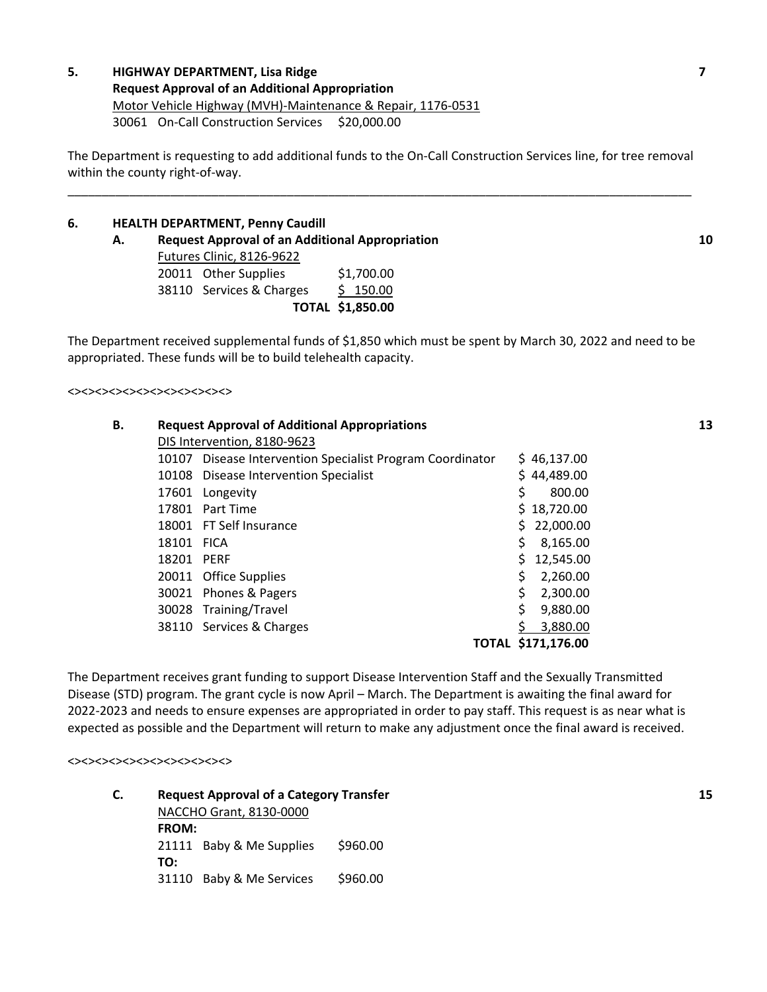#### **5. HIGHWAY DEPARTMENT, Lisa Ridge 7 Request Approval of an Additional Appropriation**  Motor Vehicle Highway (MVH)‐Maintenance & Repair, 1176‐0531 30061 On‐Call Construction Services \$20,000.00

The Department is requesting to add additional funds to the On‐Call Construction Services line, for tree removal within the county right-of-way.

\_\_\_\_\_\_\_\_\_\_\_\_\_\_\_\_\_\_\_\_\_\_\_\_\_\_\_\_\_\_\_\_\_\_\_\_\_\_\_\_\_\_\_\_\_\_\_\_\_\_\_\_\_\_\_\_\_\_\_\_\_\_\_\_\_\_\_\_\_\_\_\_\_\_\_\_\_\_\_\_\_\_\_\_\_\_\_\_\_\_\_

#### **6. HEALTH DEPARTMENT, Penny Caudill**

 **A. Request Approval of an Additional Appropriation 10**  Futures Clinic, 8126‐9622 20011 Other Supplies \$1,700.00 38110 Services & Charges \$ 150.00

**TOTAL \$1,850.00** 

The Department received supplemental funds of \$1,850 which must be spent by March 30, 2022 and need to be appropriated. These funds will be to build telehealth capacity.

 $\Leftrightarrow$ 

| В. |            | <b>Request Approval of Additional Appropriations</b>      |                    | 13 |
|----|------------|-----------------------------------------------------------|--------------------|----|
|    |            | DIS Intervention, 8180-9623                               |                    |    |
|    |            | 10107 Disease Intervention Specialist Program Coordinator | \$46,137.00        |    |
|    |            | 10108 Disease Intervention Specialist                     | \$44,489.00        |    |
|    |            | 17601 Longevity                                           | 800.00             |    |
|    |            | 17801 Part Time                                           | \$18,720.00        |    |
|    |            | 18001 FT Self Insurance                                   | \$22,000.00        |    |
|    | 18101 FICA |                                                           | 8,165.00           |    |
|    | 18201 PERF |                                                           | 12,545.00          |    |
|    |            | 20011 Office Supplies                                     | \$<br>2,260.00     |    |
|    |            | 30021 Phones & Pagers                                     | 2,300.00           |    |
|    |            | 30028 Training/Travel                                     | 9,880.00           |    |
|    |            | 38110 Services & Charges                                  | 3.880.00           |    |
|    |            |                                                           | TOTAL \$171,176.00 |    |

The Department receives grant funding to support Disease Intervention Staff and the Sexually Transmitted Disease (STD) program. The grant cycle is now April – March. The Department is awaiting the final award for 2022‐2023 and needs to ensure expenses are appropriated in order to pay staff. This request is as near what is expected as possible and the Department will return to make any adjustment once the final award is received.

<><><><><><><><><><><><>

**C. Request Approval of a Category Transfer 15**  NACCHO Grant, 8130‐0000 **FROM:**  21111 Baby & Me Supplies \$960.00 **TO:**  31110 Baby & Me Services \$960.00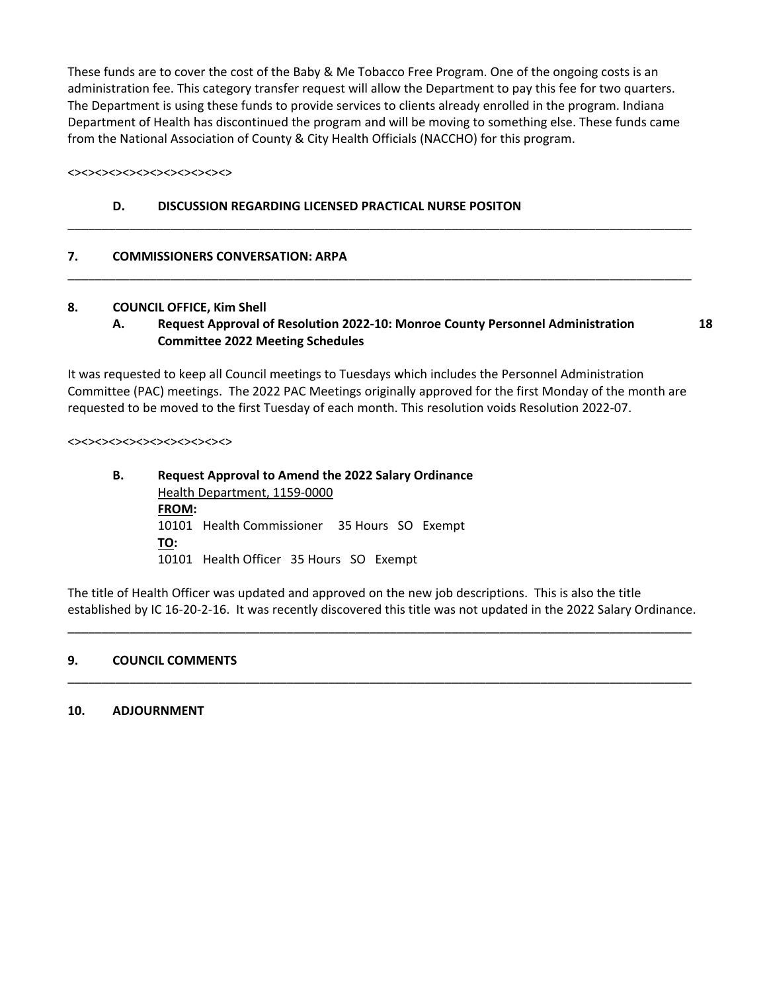These funds are to cover the cost of the Baby & Me Tobacco Free Program. One of the ongoing costs is an administration fee. This category transfer request will allow the Department to pay this fee for two quarters. The Department is using these funds to provide services to clients already enrolled in the program. Indiana Department of Health has discontinued the program and will be moving to something else. These funds came from the National Association of County & City Health Officials (NACCHO) for this program.

#### <><><><><><><><><><><><>

#### **D. DISCUSSION REGARDING LICENSED PRACTICAL NURSE POSITON**

#### **7. COMMISSIONERS CONVERSATION: ARPA**

#### **8. COUNCIL OFFICE, Kim Shell**

#### **A. Request Approval of Resolution 2022‐10: Monroe County Personnel Administration 18 Committee 2022 Meeting Schedules**

\_\_\_\_\_\_\_\_\_\_\_\_\_\_\_\_\_\_\_\_\_\_\_\_\_\_\_\_\_\_\_\_\_\_\_\_\_\_\_\_\_\_\_\_\_\_\_\_\_\_\_\_\_\_\_\_\_\_\_\_\_\_\_\_\_\_\_\_\_\_\_\_\_\_\_\_\_\_\_\_\_\_\_\_\_\_\_\_\_\_\_

\_\_\_\_\_\_\_\_\_\_\_\_\_\_\_\_\_\_\_\_\_\_\_\_\_\_\_\_\_\_\_\_\_\_\_\_\_\_\_\_\_\_\_\_\_\_\_\_\_\_\_\_\_\_\_\_\_\_\_\_\_\_\_\_\_\_\_\_\_\_\_\_\_\_\_\_\_\_\_\_\_\_\_\_\_\_\_\_\_\_\_

It was requested to keep all Council meetings to Tuesdays which includes the Personnel Administration Committee (PAC) meetings. The 2022 PAC Meetings originally approved for the first Monday of the month are requested to be moved to the first Tuesday of each month. This resolution voids Resolution 2022‐07.

#### <><><><><><><><><><><><>

#### **B. Request Approval to Amend the 2022 Salary Ordinance**  Health Department, 1159‐0000 **FROM:**  10101 Health Commissioner 35 Hours SO Exempt **TO:**  10101 Health Officer 35 Hours SO Exempt

The title of Health Officer was updated and approved on the new job descriptions. This is also the title established by IC 16‐20‐2‐16. It was recently discovered this title was not updated in the 2022 Salary Ordinance.

\_\_\_\_\_\_\_\_\_\_\_\_\_\_\_\_\_\_\_\_\_\_\_\_\_\_\_\_\_\_\_\_\_\_\_\_\_\_\_\_\_\_\_\_\_\_\_\_\_\_\_\_\_\_\_\_\_\_\_\_\_\_\_\_\_\_\_\_\_\_\_\_\_\_\_\_\_\_\_\_\_\_\_\_\_\_\_\_\_\_\_

\_\_\_\_\_\_\_\_\_\_\_\_\_\_\_\_\_\_\_\_\_\_\_\_\_\_\_\_\_\_\_\_\_\_\_\_\_\_\_\_\_\_\_\_\_\_\_\_\_\_\_\_\_\_\_\_\_\_\_\_\_\_\_\_\_\_\_\_\_\_\_\_\_\_\_\_\_\_\_\_\_\_\_\_\_\_\_\_\_\_\_

#### **9. COUNCIL COMMENTS**

#### **10. ADJOURNMENT**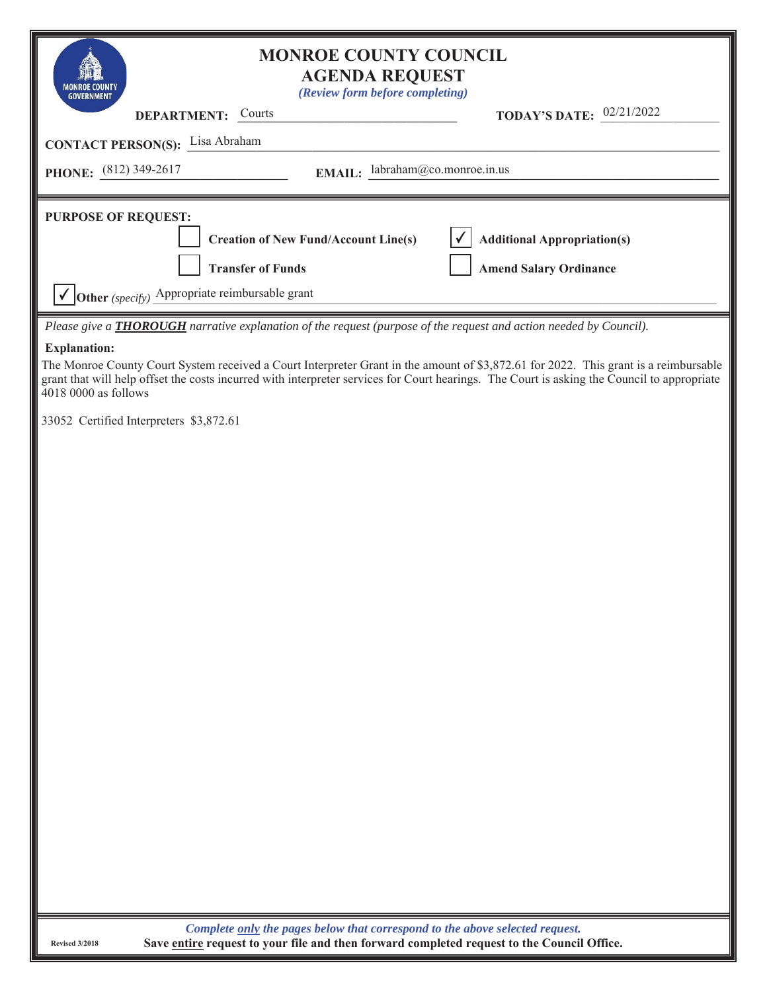| <b>MONROE COUNTY COUNCIL</b><br><b>AGENDA REQUEST</b><br>(Review form before completing)<br><b>GOVERNMENT</b>                                                                                                                                                                                                                      |                                                                     |
|------------------------------------------------------------------------------------------------------------------------------------------------------------------------------------------------------------------------------------------------------------------------------------------------------------------------------------|---------------------------------------------------------------------|
| <b>DEPARTMENT:</b> Courts                                                                                                                                                                                                                                                                                                          | TODAY'S DATE: 02/21/2022                                            |
| <b>CONTACT PERSON(S):</b> Lisa Abraham                                                                                                                                                                                                                                                                                             |                                                                     |
| EMAIL: labraham@co.monroe.in.us<br>PHONE: $(812)$ 349-2617                                                                                                                                                                                                                                                                         |                                                                     |
| <b>PURPOSE OF REQUEST:</b><br><b>Creation of New Fund/Account Line(s)</b><br><b>Transfer of Funds</b>                                                                                                                                                                                                                              | <b>Additional Appropriation(s)</b><br><b>Amend Salary Ordinance</b> |
| Other (specify) Appropriate reimbursable grant                                                                                                                                                                                                                                                                                     |                                                                     |
| Please give a <b>THOROUGH</b> narrative explanation of the request (purpose of the request and action needed by Council).                                                                                                                                                                                                          |                                                                     |
| <b>Explanation:</b><br>The Monroe County Court System received a Court Interpreter Grant in the amount of \$3,872.61 for 2022. This grant is a reimbursable<br>grant that will help offset the costs incurred with interpreter services for Court hearings. The Court is asking the Council to appropriate<br>4018 0000 as follows |                                                                     |
| 33052 Certified Interpreters \$3,872.61                                                                                                                                                                                                                                                                                            |                                                                     |
|                                                                                                                                                                                                                                                                                                                                    |                                                                     |
|                                                                                                                                                                                                                                                                                                                                    |                                                                     |
|                                                                                                                                                                                                                                                                                                                                    |                                                                     |
|                                                                                                                                                                                                                                                                                                                                    |                                                                     |
|                                                                                                                                                                                                                                                                                                                                    |                                                                     |
|                                                                                                                                                                                                                                                                                                                                    |                                                                     |
|                                                                                                                                                                                                                                                                                                                                    |                                                                     |
|                                                                                                                                                                                                                                                                                                                                    |                                                                     |
|                                                                                                                                                                                                                                                                                                                                    |                                                                     |
|                                                                                                                                                                                                                                                                                                                                    |                                                                     |
|                                                                                                                                                                                                                                                                                                                                    |                                                                     |
|                                                                                                                                                                                                                                                                                                                                    |                                                                     |
|                                                                                                                                                                                                                                                                                                                                    |                                                                     |
|                                                                                                                                                                                                                                                                                                                                    |                                                                     |
|                                                                                                                                                                                                                                                                                                                                    |                                                                     |
|                                                                                                                                                                                                                                                                                                                                    |                                                                     |
|                                                                                                                                                                                                                                                                                                                                    |                                                                     |
|                                                                                                                                                                                                                                                                                                                                    |                                                                     |
| Complete only the pages below that correspond to the above selected request.                                                                                                                                                                                                                                                       |                                                                     |
| Save entire request to your file and then forward completed request to the Council Office.<br><b>Revised 3/2018</b>                                                                                                                                                                                                                |                                                                     |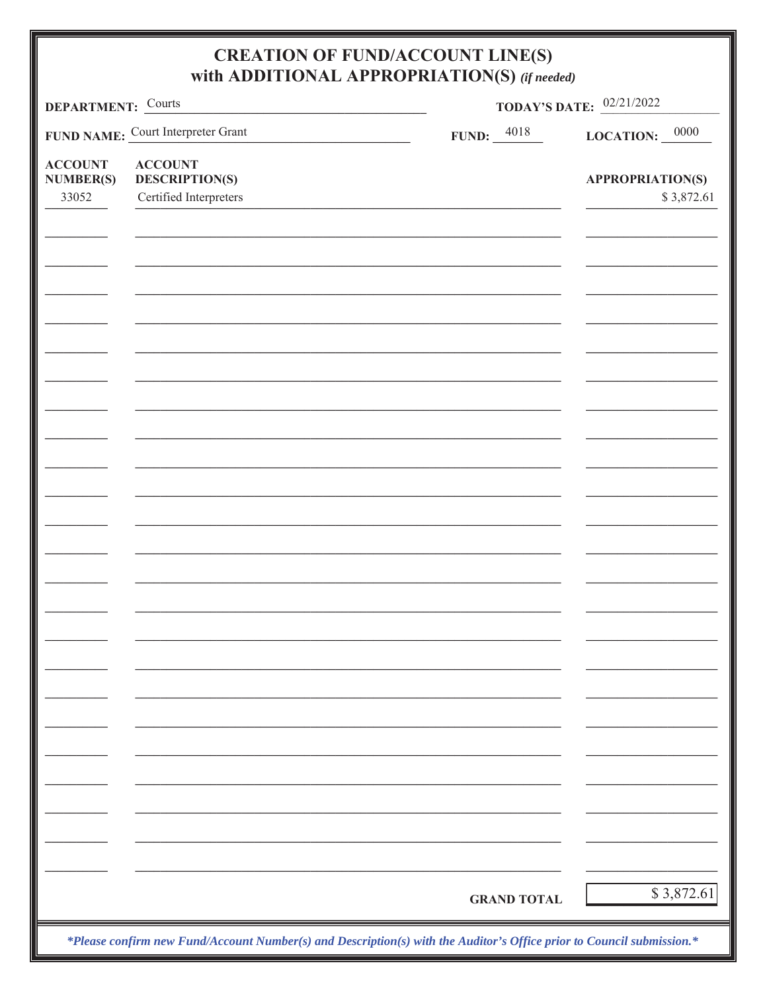| DEPARTMENT: Courts                          |                                                                   | <b>TODAY'S DATE:</b> 02/21/2022 |                                       |  |  |  |
|---------------------------------------------|-------------------------------------------------------------------|---------------------------------|---------------------------------------|--|--|--|
|                                             | FUND NAME: Court Interpreter Grant                                | FUND: $\frac{4018}{100}$        | LOCATION: $\frac{0000}{ }$            |  |  |  |
| <b>ACCOUNT</b><br><b>NUMBER(S)</b><br>33052 | <b>ACCOUNT</b><br><b>DESCRIPTION(S)</b><br>Certified Interpreters |                                 | <b>APPROPRIATION(S)</b><br>\$3,872.61 |  |  |  |
|                                             |                                                                   |                                 |                                       |  |  |  |
|                                             |                                                                   |                                 |                                       |  |  |  |
|                                             |                                                                   |                                 |                                       |  |  |  |
|                                             |                                                                   |                                 |                                       |  |  |  |
|                                             |                                                                   |                                 |                                       |  |  |  |
|                                             |                                                                   |                                 |                                       |  |  |  |
|                                             |                                                                   |                                 |                                       |  |  |  |
|                                             |                                                                   |                                 |                                       |  |  |  |
|                                             |                                                                   |                                 |                                       |  |  |  |
|                                             |                                                                   |                                 |                                       |  |  |  |
|                                             |                                                                   |                                 |                                       |  |  |  |
|                                             |                                                                   |                                 |                                       |  |  |  |
|                                             |                                                                   |                                 |                                       |  |  |  |
|                                             |                                                                   |                                 |                                       |  |  |  |
|                                             |                                                                   |                                 |                                       |  |  |  |
|                                             |                                                                   |                                 |                                       |  |  |  |
|                                             |                                                                   |                                 |                                       |  |  |  |
|                                             |                                                                   |                                 |                                       |  |  |  |
|                                             |                                                                   |                                 |                                       |  |  |  |
|                                             |                                                                   | <b>GRAND TOTAL</b>              | \$3,872.61                            |  |  |  |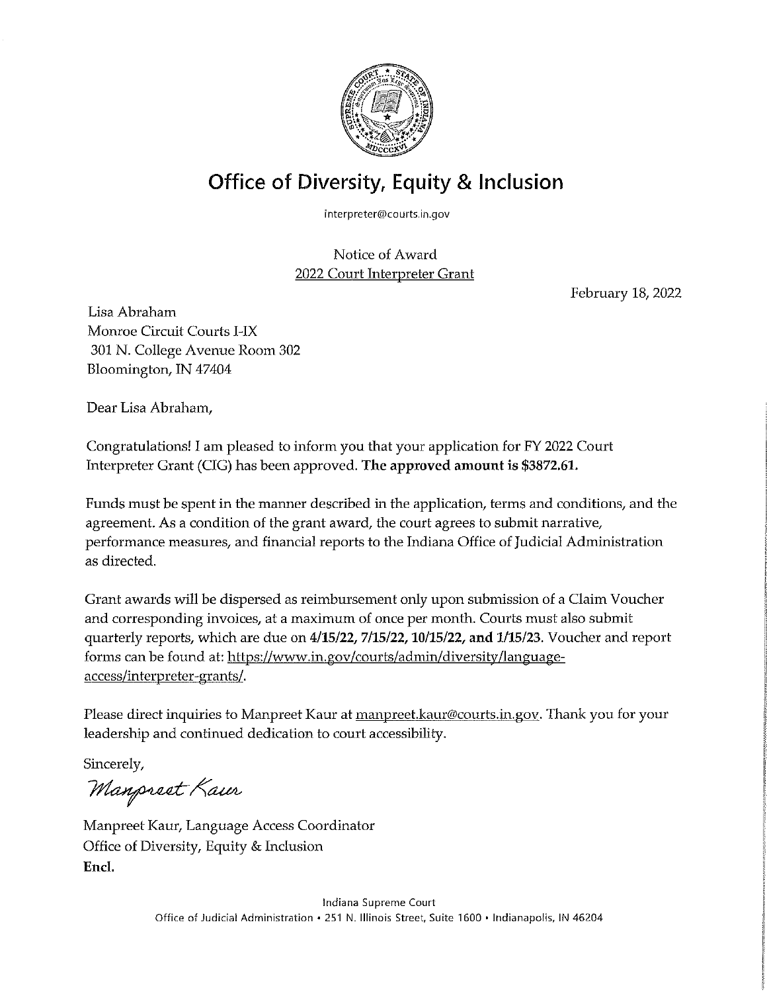

## Office of Diversity, Equity & Inclusion

interpreter@courts.in.gov

Notice of Award 2022 Court Interpreter Grant

February 18, 2022

Lisa Abraham Monroe Circuit Courts I-IX 301 N. College Avenue Room 302 Bloomington, IN 47404

Dear Lisa Abraham,

Congratulations! I am pleased to inform you that your application for FY 2022 Court Interpreter Grant (CIG) has been approved. The approved amount is \$3872.61.

Funds must be spent in the manner described in the application, terms and conditions, and the agreement. As a condition of the grant award, the court agrees to submit narrative, performance measures, and financial reports to the Indiana Office of Judicial Administration as directed.

Grant awards will be dispersed as reimbursement only upon submission of a Claim Voucher and corresponding invoices, at a maximum of once per month. Courts must also submit quarterly reports, which are due on  $4/15/22$ ,  $7/15/22$ ,  $10/15/22$ , and  $1/15/23$ . Voucher and report forms can be found at: https://www.in.gov/courts/admin/diversity/languageaccess/interpreter-grants/.

Please direct inquiries to Manpreet Kaur at manpreet.kaur@courts.in.gov. Thank you for your leadership and continued dedication to court accessibility.

Sincerely,

Manpreet Kaur

Manpreet Kaur, Language Access Coordinator Office of Diversity, Equity & Inclusion Encl.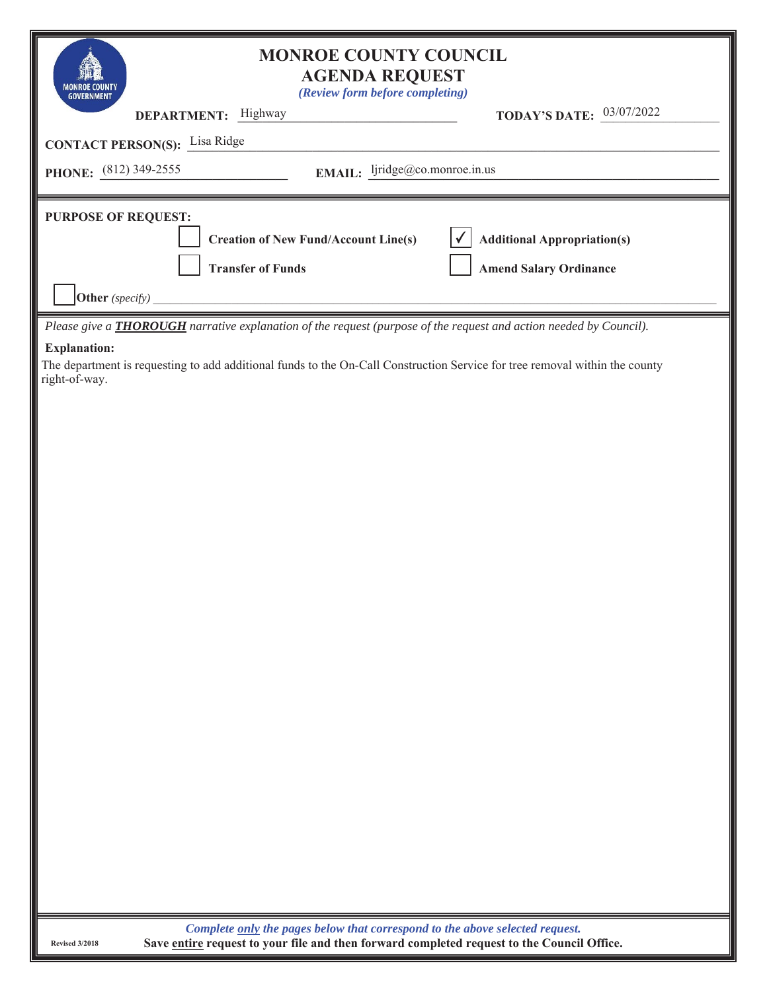| <b>MONROE COUNTY COUNCIL</b><br><b>AGENDA REQUEST</b><br>(Review form before completing)<br><b>GOVERNMENT</b>                                                                                   |
|-------------------------------------------------------------------------------------------------------------------------------------------------------------------------------------------------|
| <b>TODAY'S DATE: 03/07/2022</b><br>DEPARTMENT: Highway                                                                                                                                          |
| <b>CONTACT PERSON(S):</b> Lisa Ridge                                                                                                                                                            |
| EMAIL: ljridge@co.monroe.in.us<br>PHONE: $(812)$ 349-2555                                                                                                                                       |
| <b>PURPOSE OF REQUEST:</b><br><b>Additional Appropriation(s)</b><br><b>Creation of New Fund/Account Line(s)</b><br><b>Transfer of Funds</b><br><b>Amend Salary Ordinance</b><br>Other (specify) |
| Please give a <b>THOROUGH</b> narrative explanation of the request (purpose of the request and action needed by Council).                                                                       |
| <b>Explanation:</b><br>The department is requesting to add additional funds to the On-Call Construction Service for tree removal within the county<br>right-of-way.                             |
|                                                                                                                                                                                                 |
|                                                                                                                                                                                                 |
|                                                                                                                                                                                                 |
|                                                                                                                                                                                                 |
|                                                                                                                                                                                                 |
|                                                                                                                                                                                                 |

*Complete only the pages below that correspond to the above selected request.*  **Save entire request to your file and then forward completed request to the Council Office.**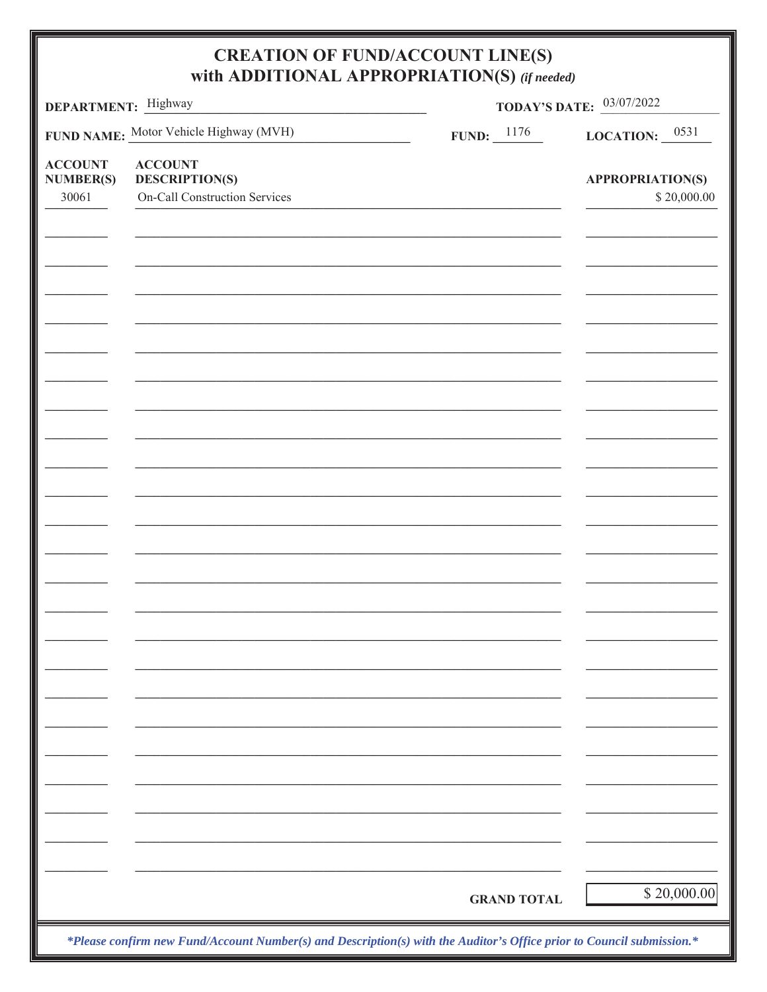| DEPARTMENT: Highway                |                                         | <b>TODAY'S DATE:</b> 03/07/2022 |                         |  |  |  |
|------------------------------------|-----------------------------------------|---------------------------------|-------------------------|--|--|--|
|                                    | FUND NAME: Motor Vehicle Highway (MVH)  | <b>FUND:</b> $\frac{1176}{1}$   | LOCATION: $0531$        |  |  |  |
| <b>ACCOUNT</b><br><b>NUMBER(S)</b> | <b>ACCOUNT</b><br><b>DESCRIPTION(S)</b> |                                 | <b>APPROPRIATION(S)</b> |  |  |  |
| 30061                              | <b>On-Call Construction Services</b>    |                                 | \$20,000.00             |  |  |  |
|                                    |                                         |                                 |                         |  |  |  |
|                                    |                                         |                                 |                         |  |  |  |
|                                    |                                         |                                 |                         |  |  |  |
|                                    |                                         |                                 |                         |  |  |  |
|                                    |                                         |                                 |                         |  |  |  |
|                                    |                                         |                                 |                         |  |  |  |
|                                    |                                         |                                 |                         |  |  |  |
|                                    |                                         |                                 |                         |  |  |  |
|                                    |                                         |                                 |                         |  |  |  |
|                                    |                                         |                                 |                         |  |  |  |
|                                    |                                         |                                 |                         |  |  |  |
|                                    |                                         |                                 |                         |  |  |  |
|                                    |                                         |                                 |                         |  |  |  |
|                                    |                                         |                                 |                         |  |  |  |
|                                    |                                         |                                 |                         |  |  |  |
|                                    |                                         |                                 |                         |  |  |  |
|                                    |                                         |                                 |                         |  |  |  |
|                                    |                                         |                                 |                         |  |  |  |
|                                    |                                         |                                 |                         |  |  |  |
|                                    |                                         |                                 |                         |  |  |  |
|                                    |                                         |                                 |                         |  |  |  |
|                                    |                                         |                                 |                         |  |  |  |
|                                    |                                         |                                 |                         |  |  |  |
|                                    |                                         |                                 |                         |  |  |  |
|                                    |                                         |                                 |                         |  |  |  |
|                                    |                                         |                                 |                         |  |  |  |
|                                    |                                         |                                 |                         |  |  |  |
|                                    |                                         |                                 |                         |  |  |  |
|                                    |                                         | <b>GRAND TOTAL</b>              | \$20,000.00             |  |  |  |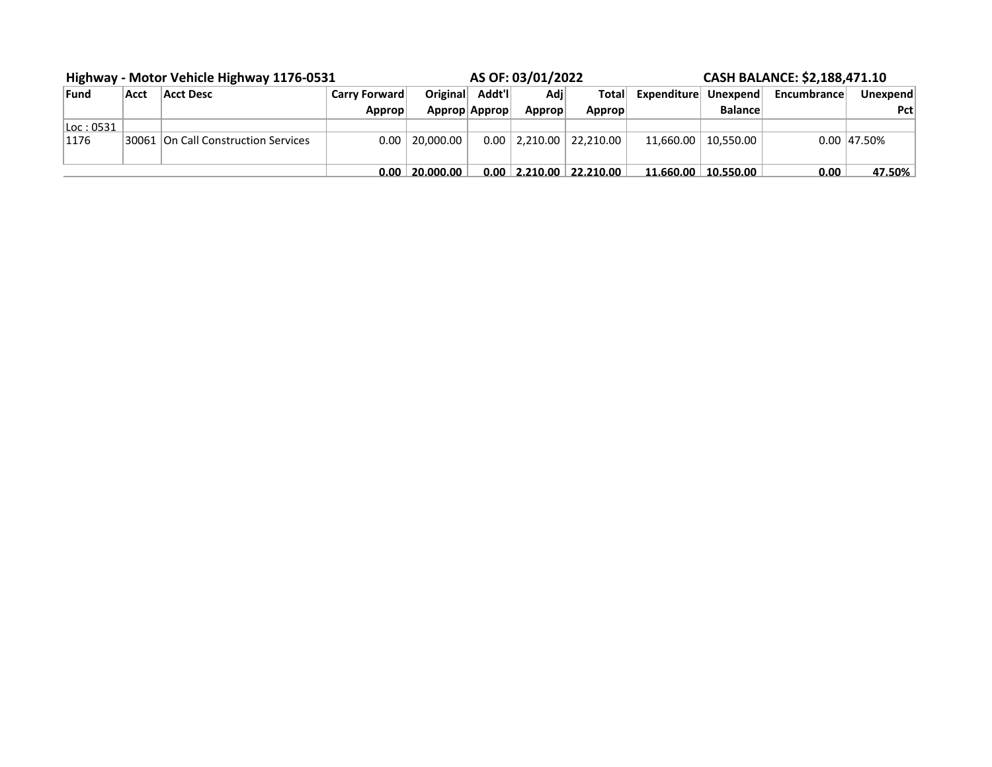| Highway - Motor Vehicle Highway 1176-0531 |      |                                       | AS OF: 03/01/2022    |               |         |        | CASH BALANCE: \$2,188,471.10  |              |                                 |             |                |
|-------------------------------------------|------|---------------------------------------|----------------------|---------------|---------|--------|-------------------------------|--------------|---------------------------------|-------------|----------------|
| Fund                                      | Acct | Acct Desc                             | <b>Carry Forward</b> | Original      | Addt'll | Adil   | Total                         | Expenditurel | Unexpend                        | Encumbrance | Unexpend       |
|                                           |      |                                       | Approp               | Approp Approp |         | Approp | Approp                        |              | <b>Balance</b>                  |             | Pct            |
| Loc:0531                                  |      |                                       |                      |               |         |        |                               |              |                                 |             |                |
| 1176                                      |      | 30061   On Call Construction Services | $0.00 \perp$         | 20.000.00     |         |        | $0.00$   2,210.00   22,210.00 |              | $11.660.00 \mid 10.550.00 \mid$ |             | $0.00$  47.50% |
|                                           |      |                                       | 0.00 <sub>1</sub>    | 20.000.00     |         |        | $0.00$   2.210.00   22.210.00 |              | $11.660.00 \mid 10.550.00 \mid$ | 0.00        | 47.50%         |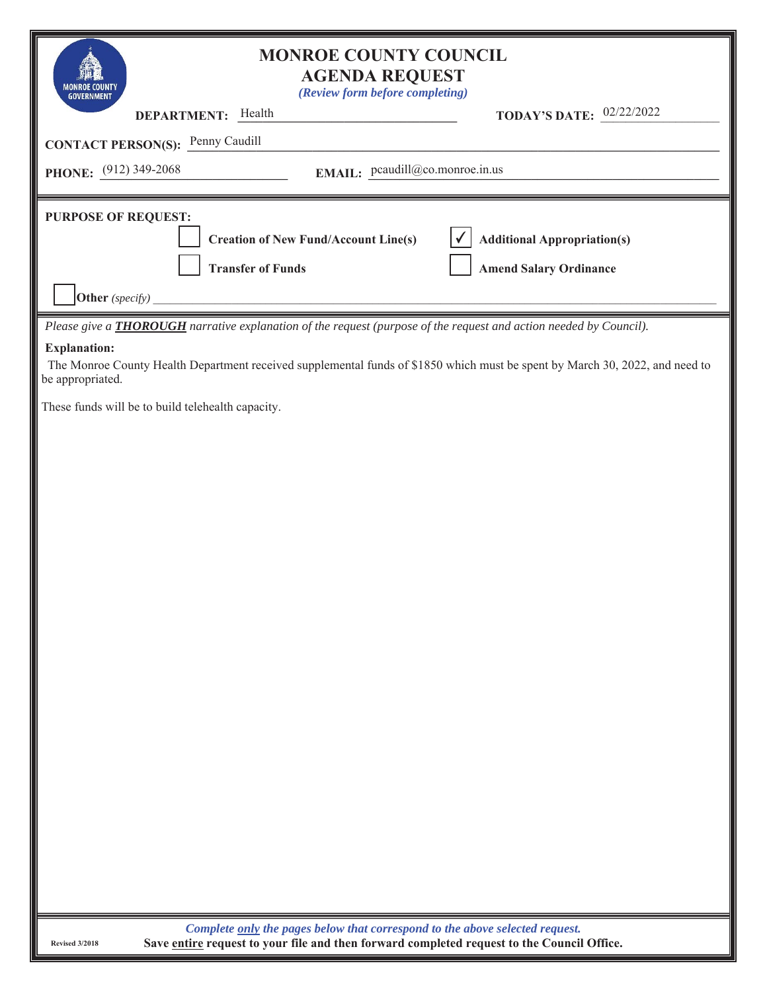| <b>MONROE COUNTY COUNCIL</b>                                                                                                                                            |                                    |
|-------------------------------------------------------------------------------------------------------------------------------------------------------------------------|------------------------------------|
| <b>AGENDA REQUEST</b><br>(Review form before completing)                                                                                                                |                                    |
| DEPARTMENT: Health                                                                                                                                                      | <b>TODAY'S DATE:</b> 02/22/2022    |
| <b>CONTACT PERSON(S):</b> Penny Caudill                                                                                                                                 |                                    |
| EMAIL: pcaudill@co.monroe.in.us<br>PHONE: (912) 349-2068                                                                                                                |                                    |
| <b>PURPOSE OF REQUEST:</b>                                                                                                                                              |                                    |
| <b>Creation of New Fund/Account Line(s)</b>                                                                                                                             | <b>Additional Appropriation(s)</b> |
| <b>Transfer of Funds</b>                                                                                                                                                | <b>Amend Salary Ordinance</b>      |
| Other (specify)                                                                                                                                                         |                                    |
| Please give a <b>THOROUGH</b> narrative explanation of the request (purpose of the request and action needed by Council).                                               |                                    |
| <b>Explanation:</b><br>The Monroe County Health Department received supplemental funds of \$1850 which must be spent by March 30, 2022, and need to<br>be appropriated. |                                    |
| These funds will be to build telehealth capacity.                                                                                                                       |                                    |
|                                                                                                                                                                         |                                    |
|                                                                                                                                                                         |                                    |
|                                                                                                                                                                         |                                    |
|                                                                                                                                                                         |                                    |
|                                                                                                                                                                         |                                    |
|                                                                                                                                                                         |                                    |
|                                                                                                                                                                         |                                    |
|                                                                                                                                                                         |                                    |
|                                                                                                                                                                         |                                    |
|                                                                                                                                                                         |                                    |
|                                                                                                                                                                         |                                    |
|                                                                                                                                                                         |                                    |
|                                                                                                                                                                         |                                    |
|                                                                                                                                                                         |                                    |
|                                                                                                                                                                         |                                    |
|                                                                                                                                                                         |                                    |
|                                                                                                                                                                         |                                    |
| 1.11                                                                                                                                                                    |                                    |

*Complete only the pages below that correspond to the above selected request.*  **Save entire request to your file and then forward completed request to the Council Office.**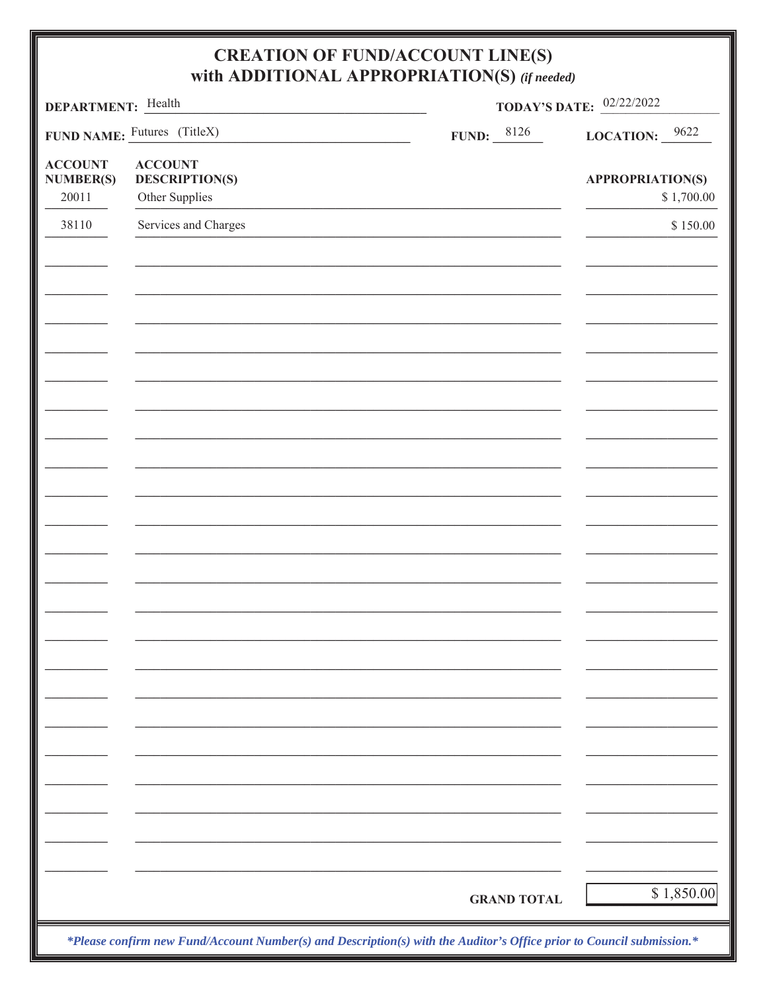| DEPARTMENT: Health                          |                                                           | <b>TODAY'S DATE:</b> 02/22/2022 |                                       |  |  |  |
|---------------------------------------------|-----------------------------------------------------------|---------------------------------|---------------------------------------|--|--|--|
|                                             | FUND NAME: Futures (TitleX)                               | FUND: $\frac{8126}{1}$          | LOCATION: $9622$                      |  |  |  |
| <b>ACCOUNT</b><br><b>NUMBER(S)</b><br>20011 | <b>ACCOUNT</b><br><b>DESCRIPTION(S)</b><br>Other Supplies |                                 | <b>APPROPRIATION(S)</b><br>\$1,700.00 |  |  |  |
| 38110                                       | Services and Charges                                      |                                 | \$150.00                              |  |  |  |
|                                             |                                                           |                                 |                                       |  |  |  |
|                                             |                                                           |                                 |                                       |  |  |  |
|                                             |                                                           |                                 |                                       |  |  |  |
|                                             |                                                           |                                 |                                       |  |  |  |
|                                             |                                                           |                                 |                                       |  |  |  |
|                                             |                                                           |                                 |                                       |  |  |  |
|                                             |                                                           |                                 |                                       |  |  |  |
|                                             |                                                           |                                 |                                       |  |  |  |
|                                             |                                                           |                                 |                                       |  |  |  |
|                                             |                                                           |                                 |                                       |  |  |  |
|                                             |                                                           |                                 |                                       |  |  |  |
|                                             |                                                           |                                 |                                       |  |  |  |
|                                             |                                                           |                                 |                                       |  |  |  |
|                                             |                                                           |                                 |                                       |  |  |  |
|                                             |                                                           |                                 |                                       |  |  |  |
|                                             |                                                           |                                 |                                       |  |  |  |
|                                             |                                                           |                                 |                                       |  |  |  |
|                                             |                                                           |                                 |                                       |  |  |  |
|                                             |                                                           |                                 |                                       |  |  |  |
|                                             |                                                           | <b>GRAND TOTAL</b>              | \$1,850.00                            |  |  |  |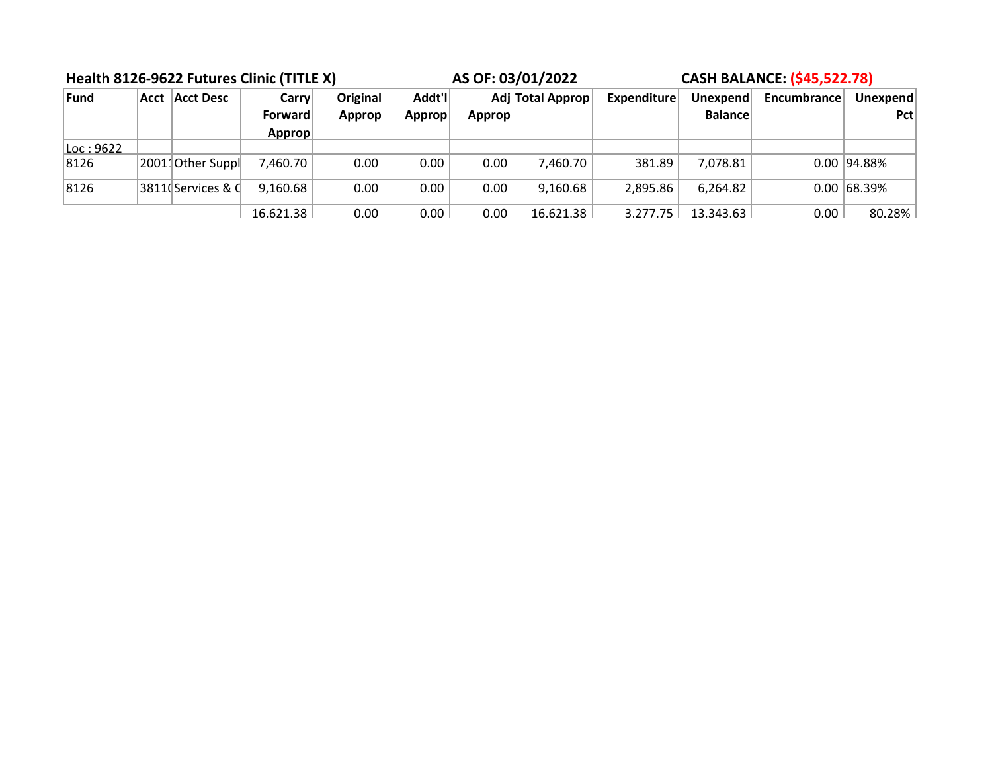| Health 8126-9622 Futures Clinic (TITLE X) |  |                   |                | AS OF: 03/01/2022 |        | <b>CASH BALANCE: (\$45,522.78)</b> |                  |                    |                |             |               |
|-------------------------------------------|--|-------------------|----------------|-------------------|--------|------------------------------------|------------------|--------------------|----------------|-------------|---------------|
| Fund                                      |  | Acct   Acct Desc  | <b>Carry</b>   | <b>Original</b>   | Addt'l |                                    | Adj Total Approp | <b>Expenditure</b> | Unexpend       | Encumbrance | Unexpend      |
|                                           |  |                   | <b>Forward</b> | Approp            | Approp | Approp                             |                  |                    | <b>Balance</b> |             | Pct           |
|                                           |  |                   | Approp         |                   |        |                                    |                  |                    |                |             |               |
| Loc:9622                                  |  |                   |                |                   |        |                                    |                  |                    |                |             |               |
| 8126                                      |  | 20011Other Suppl  | 7,460.70       | 0.00              | 0.00   | 0.00                               | 7,460.70         | 381.89             | 7,078.81       |             | $0.00$ 94.88% |
| 8126                                      |  | 3811(Services & C | 9,160.68       | 0.00              | 0.00   | 0.00                               | 9,160.68         | 2,895.86           | 6,264.82       |             | $0.00$ 68.39% |
|                                           |  |                   | 16.621.38      | 0.00              | 0.00   | 0.00                               | 16.621.38        | 3.277.75           | 13.343.63      | 0.00        | 80.28%        |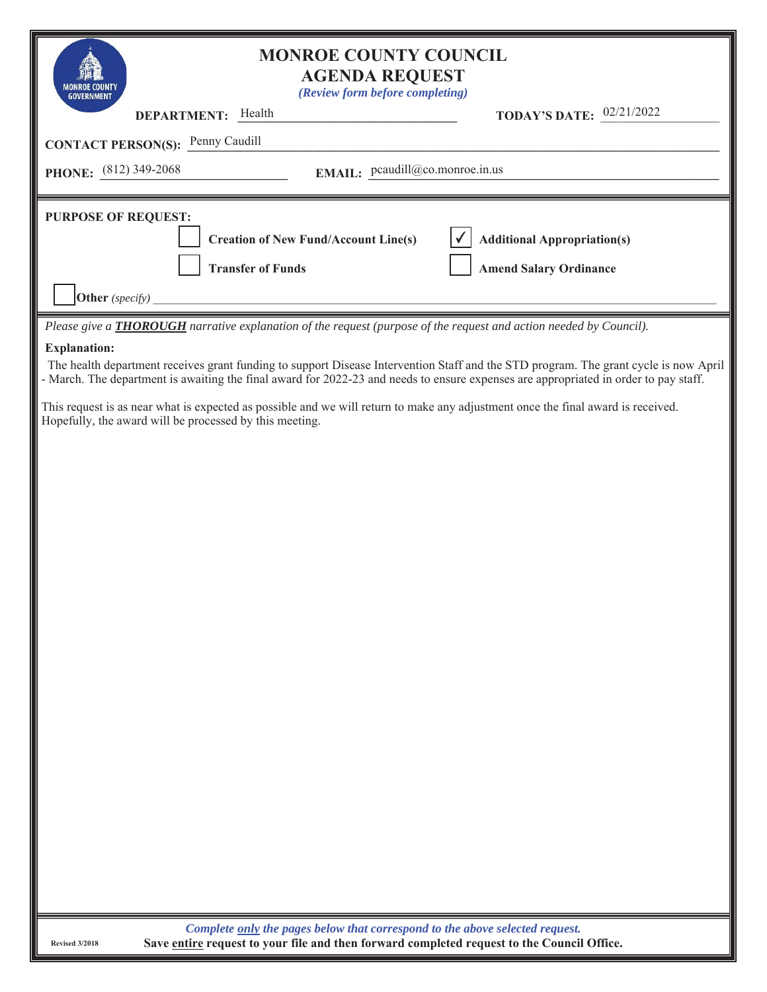| <b>MONROE COUNTY COUNCIL</b><br><b>AGENDA REQUEST</b><br>(Review form before completing)<br><b>TODAY'S DATE:</b> $02/21/2022$<br>DEPARTMENT: Health<br><b>CONTACT PERSON(S):</b> Penny Caudill<br>EMAIL: pcaudill@co.monroe.in.us<br><b>PHONE:</b> $(812)$ 349-2068<br><b>PURPOSE OF REQUEST:</b><br><b>Additional Appropriation(s)</b><br><b>Creation of New Fund/Account Line(s)</b><br><b>Transfer of Funds</b><br><b>Amend Salary Ordinance</b> |
|-----------------------------------------------------------------------------------------------------------------------------------------------------------------------------------------------------------------------------------------------------------------------------------------------------------------------------------------------------------------------------------------------------------------------------------------------------|
|                                                                                                                                                                                                                                                                                                                                                                                                                                                     |
|                                                                                                                                                                                                                                                                                                                                                                                                                                                     |
|                                                                                                                                                                                                                                                                                                                                                                                                                                                     |
|                                                                                                                                                                                                                                                                                                                                                                                                                                                     |
|                                                                                                                                                                                                                                                                                                                                                                                                                                                     |
|                                                                                                                                                                                                                                                                                                                                                                                                                                                     |
|                                                                                                                                                                                                                                                                                                                                                                                                                                                     |
| Other (specify)                                                                                                                                                                                                                                                                                                                                                                                                                                     |
| Please give a <b>THOROUGH</b> narrative explanation of the request (purpose of the request and action needed by Council).                                                                                                                                                                                                                                                                                                                           |
| <b>Explanation:</b><br>The health department receives grant funding to support Disease Intervention Staff and the STD program. The grant cycle is now April<br>- March. The department is awaiting the final award for 2022-23 and needs to ensure expenses are appropriated in order to pay staff.                                                                                                                                                 |
| This request is as near what is expected as possible and we will return to make any adjustment once the final award is received.<br>Hopefully, the award will be processed by this meeting.                                                                                                                                                                                                                                                         |
|                                                                                                                                                                                                                                                                                                                                                                                                                                                     |
|                                                                                                                                                                                                                                                                                                                                                                                                                                                     |
|                                                                                                                                                                                                                                                                                                                                                                                                                                                     |
|                                                                                                                                                                                                                                                                                                                                                                                                                                                     |
|                                                                                                                                                                                                                                                                                                                                                                                                                                                     |
|                                                                                                                                                                                                                                                                                                                                                                                                                                                     |
|                                                                                                                                                                                                                                                                                                                                                                                                                                                     |
|                                                                                                                                                                                                                                                                                                                                                                                                                                                     |
|                                                                                                                                                                                                                                                                                                                                                                                                                                                     |
|                                                                                                                                                                                                                                                                                                                                                                                                                                                     |
|                                                                                                                                                                                                                                                                                                                                                                                                                                                     |
|                                                                                                                                                                                                                                                                                                                                                                                                                                                     |
|                                                                                                                                                                                                                                                                                                                                                                                                                                                     |
|                                                                                                                                                                                                                                                                                                                                                                                                                                                     |
|                                                                                                                                                                                                                                                                                                                                                                                                                                                     |
|                                                                                                                                                                                                                                                                                                                                                                                                                                                     |
|                                                                                                                                                                                                                                                                                                                                                                                                                                                     |
|                                                                                                                                                                                                                                                                                                                                                                                                                                                     |
| Complete only the pages below that correspond to the above selected request.                                                                                                                                                                                                                                                                                                                                                                        |

**Save entire request to your file and then forward completed request to the Council Office.**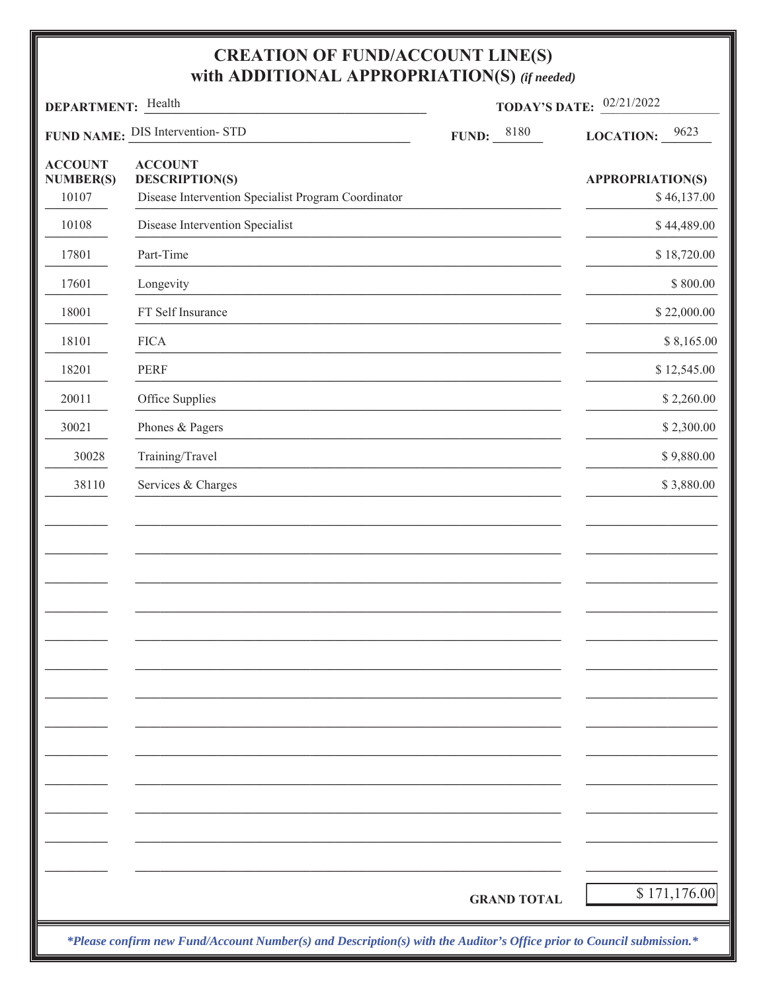| DEPARTMENT: Health                          |                                                                                                | <b>TODAY'S DATE:</b> $02/21/2022$ |                                        |  |
|---------------------------------------------|------------------------------------------------------------------------------------------------|-----------------------------------|----------------------------------------|--|
|                                             | FUND NAME: DIS Intervention-STD                                                                | <b>FUND:</b> $ 8180$              | LOCATION: $\frac{9623}{ }$             |  |
| <b>ACCOUNT</b><br><b>NUMBER(S)</b><br>10107 | <b>ACCOUNT</b><br><b>DESCRIPTION(S)</b><br>Disease Intervention Specialist Program Coordinator |                                   | <b>APPROPRIATION(S)</b><br>\$46,137.00 |  |
| 10108                                       | Disease Intervention Specialist                                                                |                                   | \$44,489.00                            |  |
| 17801                                       | Part-Time                                                                                      |                                   | \$18,720.00                            |  |
| 17601                                       | Longevity                                                                                      |                                   | \$800.00                               |  |
| 18001                                       | FT Self Insurance                                                                              |                                   | \$22,000.00                            |  |
| 18101                                       | <b>FICA</b>                                                                                    |                                   | \$8,165.00                             |  |
| 18201                                       | <b>PERF</b>                                                                                    |                                   | \$12,545.00                            |  |
| 20011                                       | Office Supplies                                                                                |                                   | \$2,260.00                             |  |
| 30021                                       | Phones & Pagers                                                                                |                                   | \$2,300.00                             |  |
| 30028                                       | Training/Travel                                                                                |                                   | \$9,880.00                             |  |
| 38110                                       | Services & Charges                                                                             |                                   | \$3,880.00                             |  |
|                                             |                                                                                                |                                   |                                        |  |
|                                             |                                                                                                | <b>GRAND TOTAL</b>                | \$171,176.00                           |  |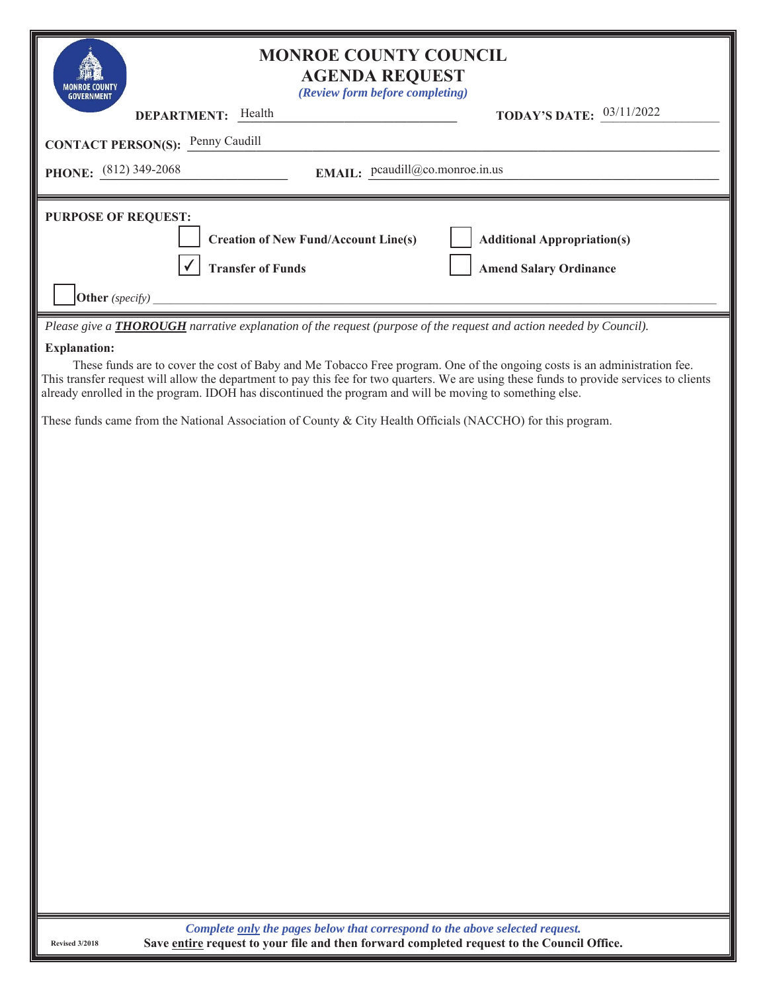| <b>MONROE COUNTY COUNCIL</b><br><b>AGENDA REQUEST</b><br>(Review form before completing)<br><b>GOVERNMEN</b>                                                                                                                                                                                                                                                                       |                                    |
|------------------------------------------------------------------------------------------------------------------------------------------------------------------------------------------------------------------------------------------------------------------------------------------------------------------------------------------------------------------------------------|------------------------------------|
| DEPARTMENT: Health                                                                                                                                                                                                                                                                                                                                                                 | TODAY'S DATE: 03/11/2022           |
| <b>CONTACT PERSON(S):</b> Penny Caudill                                                                                                                                                                                                                                                                                                                                            |                                    |
| EMAIL: peaudill@co.monroe.in.us<br><b>PHONE:</b> $(812)$ 349-2068                                                                                                                                                                                                                                                                                                                  |                                    |
| <b>PURPOSE OF REQUEST:</b>                                                                                                                                                                                                                                                                                                                                                         |                                    |
| <b>Creation of New Fund/Account Line(s)</b>                                                                                                                                                                                                                                                                                                                                        | <b>Additional Appropriation(s)</b> |
| <b>Transfer of Funds</b>                                                                                                                                                                                                                                                                                                                                                           |                                    |
| Other (specify)                                                                                                                                                                                                                                                                                                                                                                    | <b>Amend Salary Ordinance</b>      |
| Please give a THOROUGH narrative explanation of the request (purpose of the request and action needed by Council).                                                                                                                                                                                                                                                                 |                                    |
| <b>Explanation:</b>                                                                                                                                                                                                                                                                                                                                                                |                                    |
| These funds are to cover the cost of Baby and Me Tobacco Free program. One of the ongoing costs is an administration fee.<br>This transfer request will allow the department to pay this fee for two quarters. We are using these funds to provide services to clients<br>already enrolled in the program. IDOH has discontinued the program and will be moving to something else. |                                    |
| These funds came from the National Association of County & City Health Officials (NACCHO) for this program.                                                                                                                                                                                                                                                                        |                                    |
|                                                                                                                                                                                                                                                                                                                                                                                    |                                    |
|                                                                                                                                                                                                                                                                                                                                                                                    |                                    |
|                                                                                                                                                                                                                                                                                                                                                                                    |                                    |
|                                                                                                                                                                                                                                                                                                                                                                                    |                                    |
|                                                                                                                                                                                                                                                                                                                                                                                    |                                    |
|                                                                                                                                                                                                                                                                                                                                                                                    |                                    |
|                                                                                                                                                                                                                                                                                                                                                                                    |                                    |
|                                                                                                                                                                                                                                                                                                                                                                                    |                                    |
|                                                                                                                                                                                                                                                                                                                                                                                    |                                    |
|                                                                                                                                                                                                                                                                                                                                                                                    |                                    |
|                                                                                                                                                                                                                                                                                                                                                                                    |                                    |
|                                                                                                                                                                                                                                                                                                                                                                                    |                                    |
|                                                                                                                                                                                                                                                                                                                                                                                    |                                    |
|                                                                                                                                                                                                                                                                                                                                                                                    |                                    |
|                                                                                                                                                                                                                                                                                                                                                                                    |                                    |
|                                                                                                                                                                                                                                                                                                                                                                                    |                                    |
|                                                                                                                                                                                                                                                                                                                                                                                    |                                    |
|                                                                                                                                                                                                                                                                                                                                                                                    |                                    |
|                                                                                                                                                                                                                                                                                                                                                                                    |                                    |
|                                                                                                                                                                                                                                                                                                                                                                                    |                                    |
| Complete only the pages below that correspond to the above selected request.                                                                                                                                                                                                                                                                                                       |                                    |

**Save entire request to your file and then forward completed request to the Council Office.**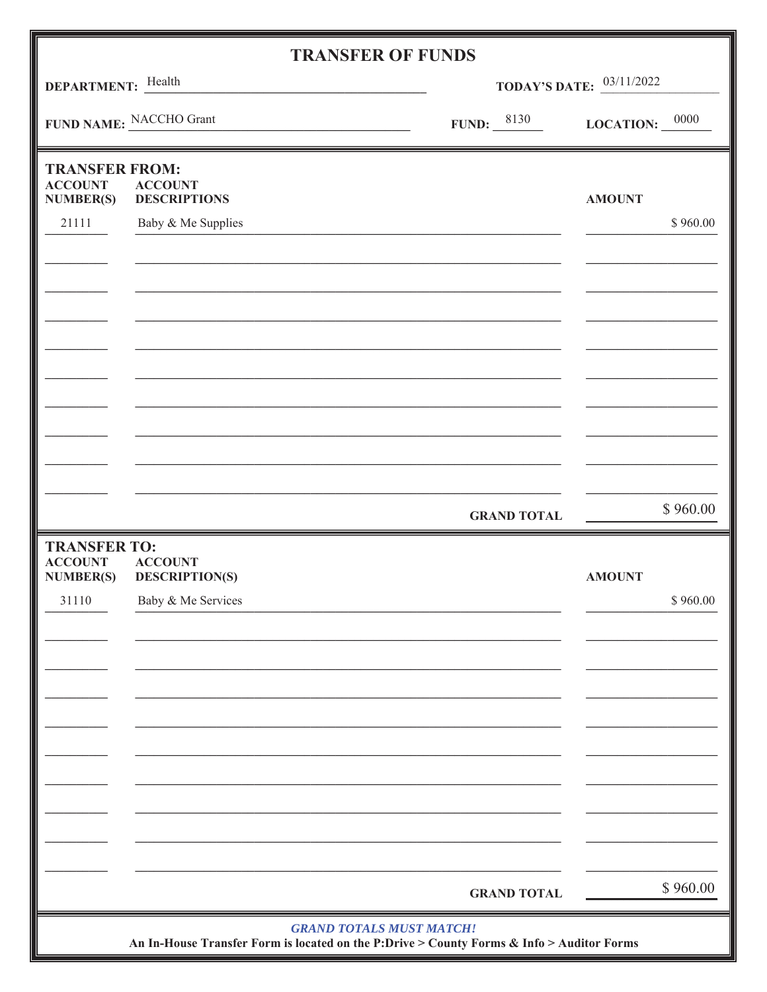|                                                             |                                         | <b>TRANSFER OF FUNDS</b>                                                                  |                                 |                                         |  |
|-------------------------------------------------------------|-----------------------------------------|-------------------------------------------------------------------------------------------|---------------------------------|-----------------------------------------|--|
| <b>DEPARTMENT:</b> Health                                   |                                         |                                                                                           | <b>TODAY'S DATE:</b> 03/11/2022 |                                         |  |
| FUND NAME: NACCHO Grant                                     |                                         |                                                                                           | FUND: $\frac{8130}{1}$          | LOCATION: $\frac{0000}{\phantom{0000}}$ |  |
| <b>TRANSFER FROM:</b><br><b>ACCOUNT</b><br><b>NUMBER(S)</b> | <b>ACCOUNT</b><br><b>DESCRIPTIONS</b>   |                                                                                           |                                 | <b>AMOUNT</b>                           |  |
| 21111                                                       | Baby & Me Supplies                      |                                                                                           |                                 | \$960.00                                |  |
|                                                             |                                         |                                                                                           |                                 |                                         |  |
|                                                             |                                         |                                                                                           |                                 |                                         |  |
|                                                             |                                         |                                                                                           |                                 |                                         |  |
|                                                             |                                         |                                                                                           |                                 |                                         |  |
|                                                             |                                         |                                                                                           |                                 |                                         |  |
|                                                             |                                         |                                                                                           |                                 |                                         |  |
|                                                             |                                         |                                                                                           |                                 |                                         |  |
|                                                             |                                         |                                                                                           |                                 | \$960.00                                |  |
|                                                             |                                         |                                                                                           | <b>GRAND TOTAL</b>              |                                         |  |
| <b>TRANSFER TO:</b><br><b>ACCOUNT</b><br><b>NUMBER(S)</b>   | <b>ACCOUNT</b><br><b>DESCRIPTION(S)</b> |                                                                                           |                                 | <b>AMOUNT</b>                           |  |
| 31110                                                       | Baby & Me Services                      |                                                                                           |                                 | \$960.00                                |  |
|                                                             |                                         |                                                                                           |                                 |                                         |  |
|                                                             |                                         |                                                                                           |                                 |                                         |  |
|                                                             |                                         |                                                                                           |                                 |                                         |  |
|                                                             |                                         |                                                                                           |                                 |                                         |  |
|                                                             |                                         |                                                                                           |                                 |                                         |  |
|                                                             |                                         |                                                                                           |                                 |                                         |  |
|                                                             |                                         |                                                                                           |                                 |                                         |  |
|                                                             |                                         |                                                                                           | <b>GRAND TOTAL</b>              | \$960.00                                |  |
|                                                             |                                         | <b>GRAND TOTALS MUST MATCH!</b>                                                           |                                 |                                         |  |
|                                                             |                                         | An In-House Transfer Form is located on the P:Drive > County Forms & Info > Auditor Forms |                                 |                                         |  |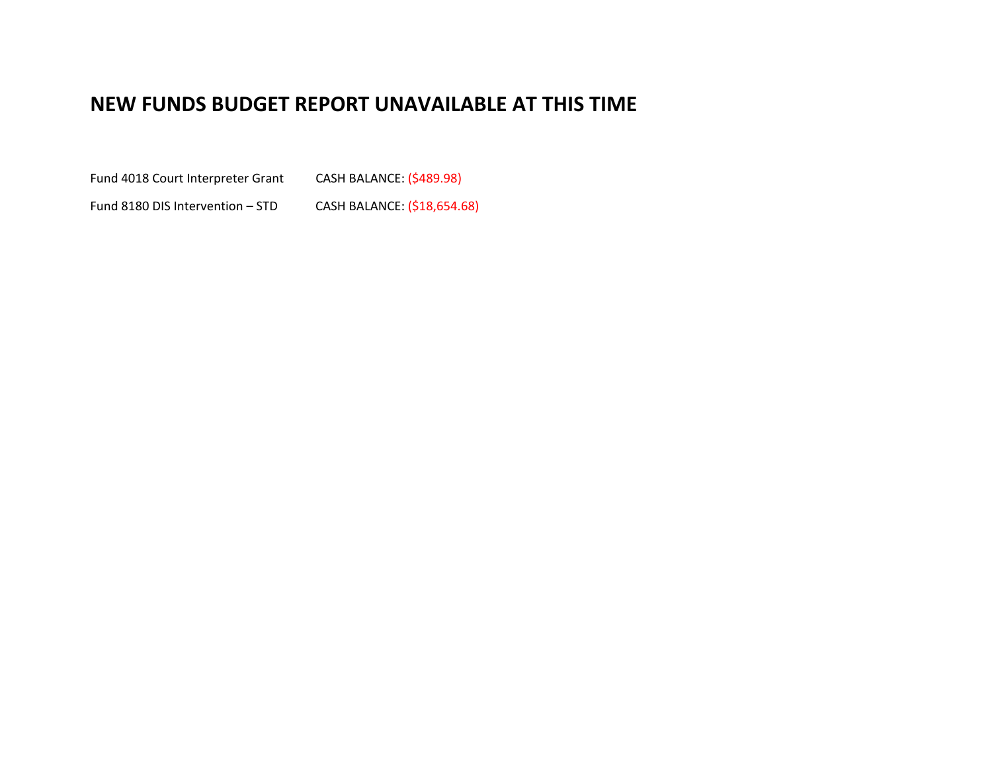## **NEW FUNDS BUDGET REPORT UNAVAILABLE AT THIS TIME**

Fund 4018 Court Interpreter Grant CASH BALANCE: (\$489.98)

Fund 8180 DIS Intervention - STD CASH BALANCE: (\$18,654.68)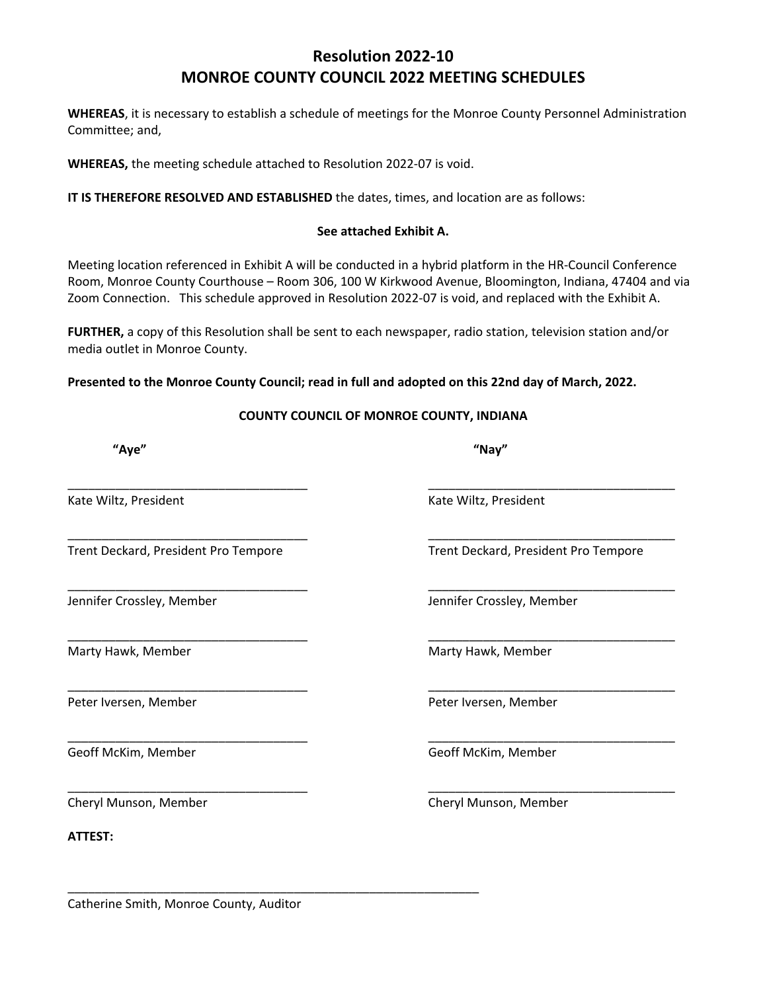### **Resolution 2022‐10 MONROE COUNTY COUNCIL 2022 MEETING SCHEDULES**

**WHEREAS**, it is necessary to establish a schedule of meetings for the Monroe County Personnel Administration Committee; and,

**WHEREAS,** the meeting schedule attached to Resolution 2022‐07 is void.

**IT IS THEREFORE RESOLVED AND ESTABLISHED** the dates, times, and location are as follows:

#### **See attached Exhibit A.**

Meeting location referenced in Exhibit A will be conducted in a hybrid platform in the HR‐Council Conference Room, Monroe County Courthouse – Room 306, 100 W Kirkwood Avenue, Bloomington, Indiana, 47404 and via Zoom Connection. This schedule approved in Resolution 2022‐07 is void, and replaced with the Exhibit A.

**FURTHER,** a copy of this Resolution shall be sent to each newspaper, radio station, television station and/or media outlet in Monroe County.

#### **Presented to the Monroe County Council; read in full and adopted on this 22nd day of March, 2022.**

#### **COUNTY COUNCIL OF MONROE COUNTY, INDIANA**

\_\_\_\_\_\_\_\_\_\_\_\_\_\_\_\_\_\_\_\_\_\_\_\_\_\_\_\_\_\_\_\_\_\_\_ \_\_\_\_\_\_\_\_\_\_\_\_\_\_\_\_\_\_\_\_\_\_\_\_\_\_\_\_\_\_\_\_\_\_\_\_

\_\_\_\_\_\_\_\_\_\_\_\_\_\_\_\_\_\_\_\_\_\_\_\_\_\_\_\_\_\_\_\_\_\_\_ \_\_\_\_\_\_\_\_\_\_\_\_\_\_\_\_\_\_\_\_\_\_\_\_\_\_\_\_\_\_\_\_\_\_\_\_

\_\_\_\_\_\_\_\_\_\_\_\_\_\_\_\_\_\_\_\_\_\_\_\_\_\_\_\_\_\_\_\_\_\_\_ \_\_\_\_\_\_\_\_\_\_\_\_\_\_\_\_\_\_\_\_\_\_\_\_\_\_\_\_\_\_\_\_\_\_\_\_

\_\_\_\_\_\_\_\_\_\_\_\_\_\_\_\_\_\_\_\_\_\_\_\_\_\_\_\_\_\_\_\_\_\_\_ \_\_\_\_\_\_\_\_\_\_\_\_\_\_\_\_\_\_\_\_\_\_\_\_\_\_\_\_\_\_\_\_\_\_\_\_

\_\_\_\_\_\_\_\_\_\_\_\_\_\_\_\_\_\_\_\_\_\_\_\_\_\_\_\_\_\_\_\_\_\_\_ \_\_\_\_\_\_\_\_\_\_\_\_\_\_\_\_\_\_\_\_\_\_\_\_\_\_\_\_\_\_\_\_\_\_\_\_

\_\_\_\_\_\_\_\_\_\_\_\_\_\_\_\_\_\_\_\_\_\_\_\_\_\_\_\_\_\_\_\_\_\_\_ \_\_\_\_\_\_\_\_\_\_\_\_\_\_\_\_\_\_\_\_\_\_\_\_\_\_\_\_\_\_\_\_\_\_\_\_

Kate Wiltz, President **Kate Wiltz, President Kate Wiltz**, President

Trent Deckard, President Pro Tempore Trent Deckard, President Pro Tempore

Marty Hawk, Member Marty Hawk, Member

**ATTEST:** 

Jennifer Crossley, Member Jennifer Crossley, Member

Peter Iversen, Member Peter Iversen, Member

**"Aye" "Nay"**

Geoff McKim, Member **Communist Communist Communist Communist Communist Communist Communist Communist Communist Communist Communist Communist Communist Communist Communist Communist Communist Communist Communist Communist C** \_\_\_\_\_\_\_\_\_\_\_\_\_\_\_\_\_\_\_\_\_\_\_\_\_\_\_\_\_\_\_\_\_\_\_ \_\_\_\_\_\_\_\_\_\_\_\_\_\_\_\_\_\_\_\_\_\_\_\_\_\_\_\_\_\_\_\_\_\_\_\_ Cheryl Munson, Member Cheryl Munson, Member

\_\_\_\_\_\_\_\_\_\_\_\_\_\_\_\_\_\_\_\_\_\_\_\_\_\_\_\_\_\_\_\_\_\_\_\_\_\_\_\_\_\_\_\_\_\_\_\_\_\_\_\_\_\_\_\_\_\_\_\_

Catherine Smith, Monroe County, Auditor